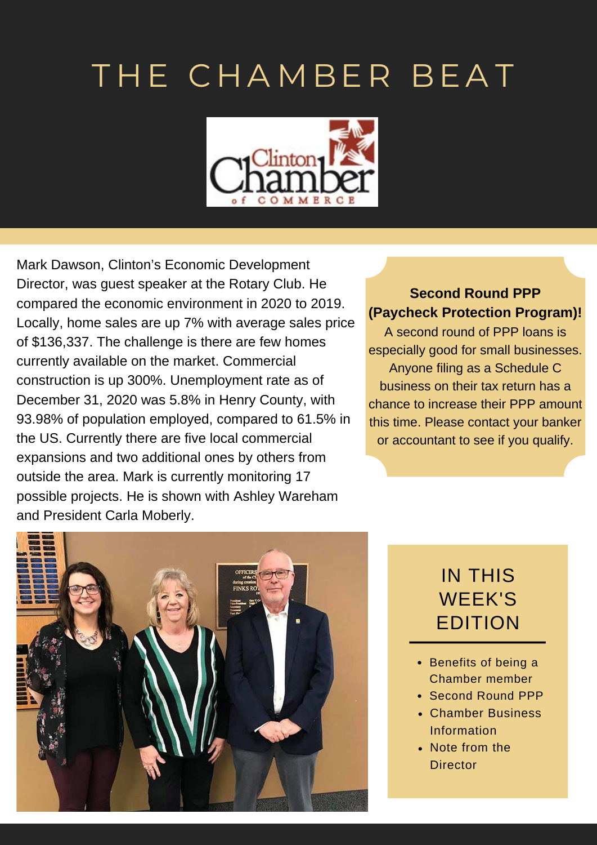## THE CHAMBER BEAT



Mark Dawson, Clinton's Economic Development Director, was guest speaker at the Rotary Club. He compared the economic environment in 2020 to 2019. Locally, home sales are up 7% with average sales price of \$136,337. The challenge is there are few homes currently available on the market. Commercial construction is up 300%. Unemployment rate as of December 31, 2020 was 5.8% in Henry County, with 93.98% of population employed, compared to 61.5% in the US. Currently there are five local commercial expansions and two additional ones by others from outside the area. Mark is currently monitoring 17 possible projects. He is shown with Ashley Wareham and President Carla Moberly.

### **Second Round PPP (Paycheck Protection Program)!**

A second round of PPP loans is especially good for small businesses. Anyone filing as a Schedule C business on their tax return has a chance to increase their PPP amount this time. Please contact your banker or accountant to see if you qualify.



### IN THIS WEEK'S EDITION

- Benefits of being a Chamber member
- Second Round PPP
- Chamber Business Information
- Note from the **Director**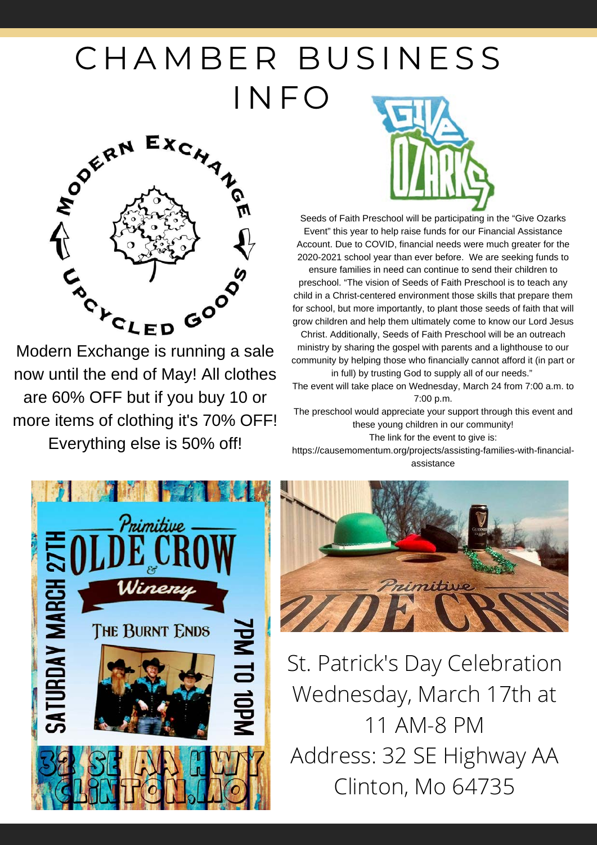# CHAMBER BUSINESS



now until the end of May! All clothes are 60% OFF but if you buy 10 or more items of clothing it's 70% OFF! Everything else is 50% off!



Seeds of Faith Preschool will be participating in the "Give Ozarks Event" this year to help raise funds for our Financial Assistance Account. Due to COVID, financial needs were much greater for the 2020-2021 school year than ever before. We are seeking funds to

ensure families in need can continue to send their children to preschool. "The vision of Seeds of Faith Preschool is to teach any child in a Christ-centered environment those skills that prepare them for school, but more importantly, to plant those seeds of faith that will grow children and help them ultimately come to know our Lord Jesus

Christ. Additionally, Seeds of Faith Preschool will be an outreach ministry by sharing the gospel with parents and a lighthouse to our community by helping those who financially cannot afford it (in part or in full) by trusting God to supply all of our needs."

The event will take place on Wednesday, March 24 from 7:00 a.m. to 7:00 p.m.

The preschool would appreciate your support through this event and these young children in our community! The link for the event to give is:

[https://causemomentum.org/projects/assisting-families-with-financial](https://causemomentum.org/projects/assisting-families-with-financial-assistance)assistance





St. Patrick's Day Celebration Wednesday, March 17th at 11 AM-8 PM Address: 32 SE Highway AA Clinton, Mo 64735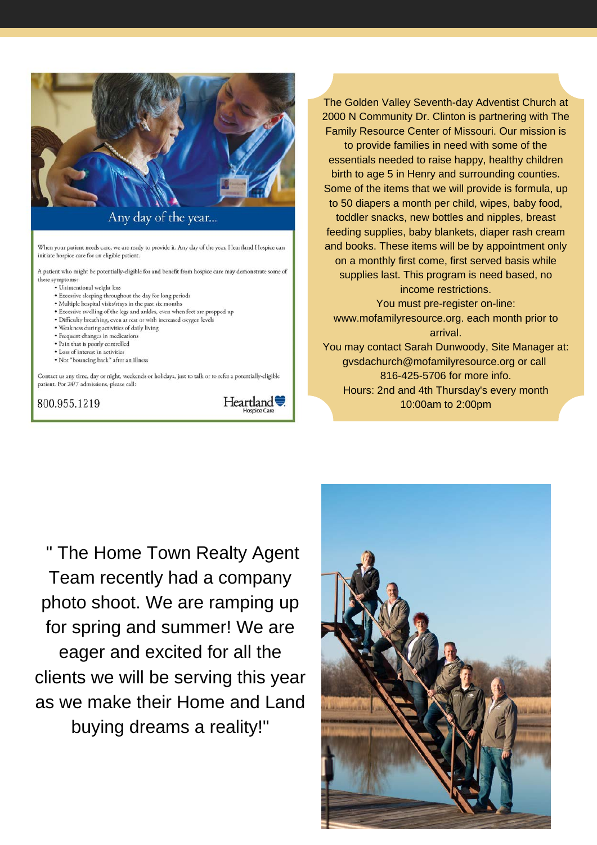

Any day of the year...

When your patient needs care, we are ready to provide it. Any day of the year, Heartland Hospice can initiate hospice care for an eligible patient.

A patient who might be potentially-eligible for and benefit from hospice care may demonstrate some of these symptoms:

- · Unintentional weight loss
- · Excessive sleeping throughout the day for long periods
- · Multiple hospital visits/stays in the past six months
- · Excessive swelling of the legs and ankles, even when feet are propped up
- · Difficulty breathing, even at rest or with increased oxygen levels
- · Weakness during activities of daily living
- · Frequent changes in medications
- Pain that is poorly controlled
- · Loss of interest in activities
- · Not "bouncing back" after an illness

Contact us any time, day or night, weekends or holidays, just to talk or to refer a potentially-eligible patient. For 24/7 admissions, please call:

#### 800.955.1219

Heartland

The Golden Valley Seventh-day Adventist Church at 2000 N Community Dr. Clinton is partnering with The Family Resource Center of Missouri. Our mission is to provide families in need with some of the essentials needed to raise happy, healthy children birth to age 5 in Henry and surrounding counties. Some of the items that we will provide is formula, up to 50 diapers a month per child, wipes, baby food, toddler snacks, new bottles and nipples, breast feeding supplies, baby blankets, diaper rash cream and books. These items will be by appointment only on a monthly first come, first served basis while supplies last. This program is need based, no income restrictions. You must pre-register on-line: www.mofamilyresource.org. each month prior to arrival. You may contact Sarah Dunwoody, Site Manager at: gysdachurch@mofamilyresource.org or call

816-425-5706 for more info. Hours: 2nd and 4th Thursday's every month 10:00am to 2:00pm

" The Home Town Realty Agent Team recently had a company photo shoot. We are ramping up for spring and summer! We are eager and excited for all the clients we will be serving this year as we make their Home and Land buying dreams a reality!"

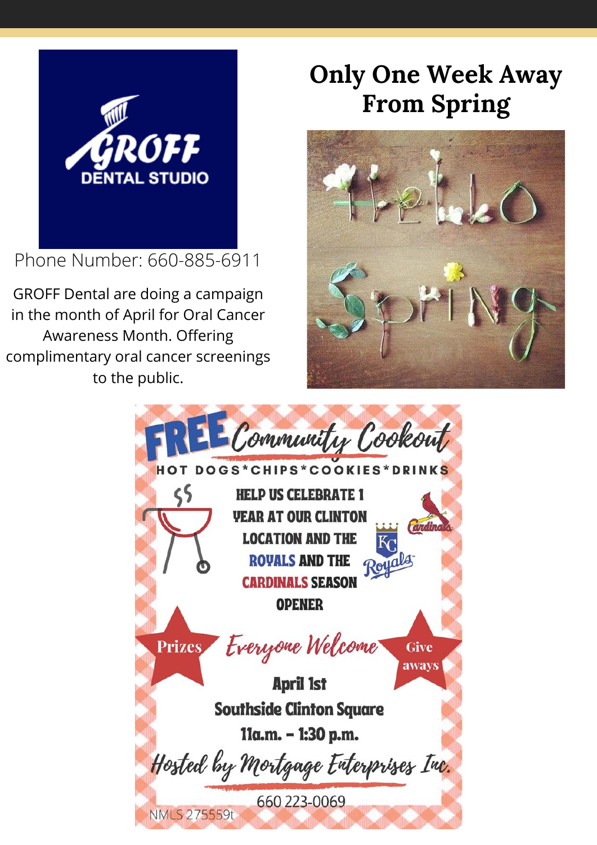

Phone Number: 660-885-6911

GROFF Dental are doing a campaign in the month of April for Oral Cancer Awareness Month. Offering complimentary oral cancer screenings to the public.

## **Only One Week Away From Spring**